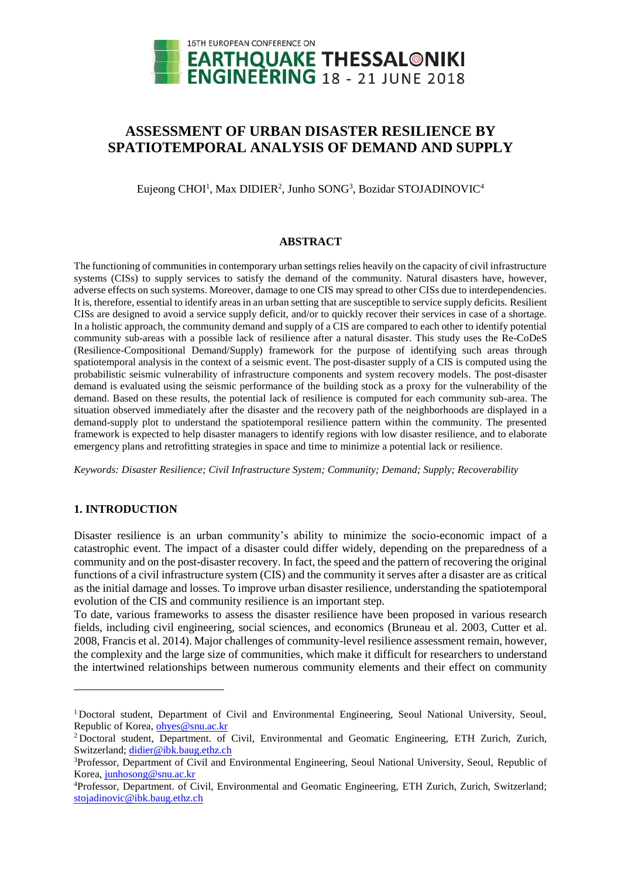

# **ASSESSMENT OF URBAN DISASTER RESILIENCE BY SPATIOTEMPORAL ANALYSIS OF DEMAND AND SUPPLY**

Eujeong CHOI<sup>1</sup>, Max DIDIER<sup>2</sup>, Junho SONG<sup>3</sup>, Bozidar STOJADINOVIC<sup>4</sup>

## **ABSTRACT**

The functioning of communities in contemporary urban settings relies heavily on the capacity of civil infrastructure systems (CISs) to supply services to satisfy the demand of the community. Natural disasters have, however, adverse effects on such systems. Moreover, damage to one CIS may spread to other CISs due to interdependencies. It is, therefore, essential to identify areas in an urban setting that are susceptible to service supply deficits. Resilient CISs are designed to avoid a service supply deficit, and/or to quickly recover their services in case of a shortage. In a holistic approach, the community demand and supply of a CIS are compared to each other to identify potential community sub-areas with a possible lack of resilience after a natural disaster. This study uses the Re-CoDeS (Resilience-Compositional Demand/Supply) framework for the purpose of identifying such areas through spatiotemporal analysis in the context of a seismic event. The post-disaster supply of a CIS is computed using the probabilistic seismic vulnerability of infrastructure components and system recovery models. The post-disaster demand is evaluated using the seismic performance of the building stock as a proxy for the vulnerability of the demand. Based on these results, the potential lack of resilience is computed for each community sub-area. The situation observed immediately after the disaster and the recovery path of the neighborhoods are displayed in a demand-supply plot to understand the spatiotemporal resilience pattern within the community. The presented framework is expected to help disaster managers to identify regions with low disaster resilience, and to elaborate emergency plans and retrofitting strategies in space and time to minimize a potential lack or resilience.

*Keywords: Disaster Resilience; Civil Infrastructure System; Community; Demand; Supply; Recoverability*

## **1. INTRODUCTION**

l

Disaster resilience is an urban community's ability to minimize the socio-economic impact of a catastrophic event. The impact of a disaster could differ widely, depending on the preparedness of a community and on the post-disaster recovery. In fact, the speed and the pattern of recovering the original functions of a civil infrastructure system (CIS) and the community it serves after a disaster are as critical as the initial damage and losses. To improve urban disaster resilience, understanding the spatiotemporal evolution of the CIS and community resilience is an important step.

To date, various frameworks to assess the disaster resilience have been proposed in various research fields, including civil engineering, social sciences, and economics (Bruneau et al. 2003, Cutter et al. 2008, Francis et al. 2014). Major challenges of community-level resilience assessment remain, however, the complexity and the large size of communities, which make it difficult for researchers to understand the intertwined relationships between numerous community elements and their effect on community

<sup>&</sup>lt;sup>1</sup>Doctoral student, Department of Civil and Environmental Engineering, Seoul National University, Seoul, Republic of Korea, ohyes@snu.ac.kr

<sup>&</sup>lt;sup>2</sup> Doctoral student, Department. of Civil, Environmental and Geomatic Engineering, ETH Zurich, Zurich, Switzerland; [didier@ibk.baug.ethz.ch](mailto:didier@ibk.baug.ethz.ch)

<sup>3</sup>Professor, Department of Civil and Environmental Engineering, Seoul National University, Seoul, Republic of Korea, junhoson[g@snu.ac.kr](mailto:emailaddress@canterbury.ac.nz)

<sup>4</sup>Professor, Department. of Civil, Environmental and Geomatic Engineering, ETH Zurich, Zurich, Switzerland; [stojadinovic@ibk.baug.ethz.ch](mailto:stojadinovic@ibk.baug.ethz.ch)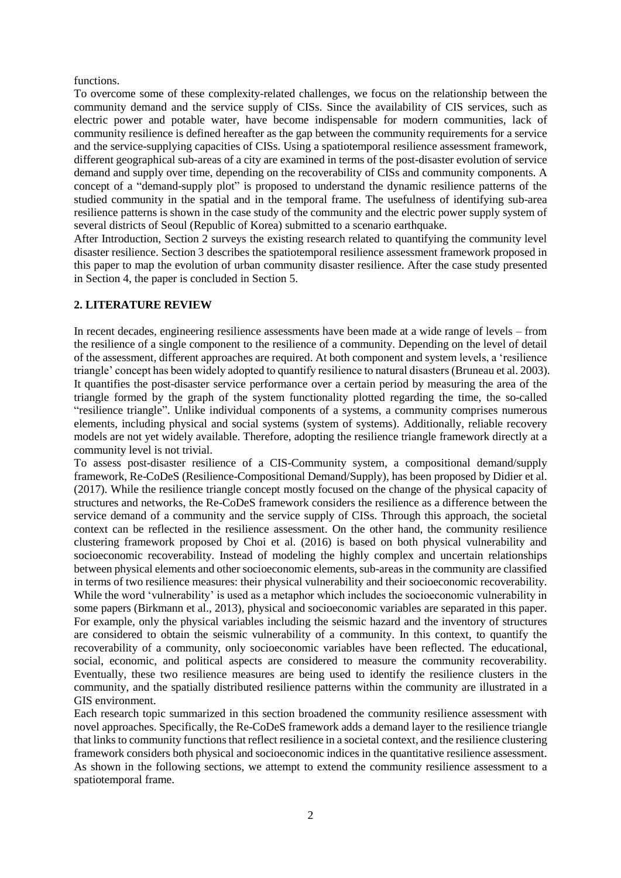#### functions.

To overcome some of these complexity-related challenges, we focus on the relationship between the community demand and the service supply of CISs. Since the availability of CIS services, such as electric power and potable water, have become indispensable for modern communities, lack of community resilience is defined hereafter as the gap between the community requirements for a service and the service-supplying capacities of CISs. Using a spatiotemporal resilience assessment framework, different geographical sub-areas of a city are examined in terms of the post-disaster evolution of service demand and supply over time, depending on the recoverability of CISs and community components. A concept of a "demand-supply plot" is proposed to understand the dynamic resilience patterns of the studied community in the spatial and in the temporal frame. The usefulness of identifying sub-area resilience patterns is shown in the case study of the community and the electric power supply system of several districts of Seoul (Republic of Korea) submitted to a scenario earthquake.

After Introduction, Section 2 surveys the existing research related to quantifying the community level disaster resilience. Section 3 describes the spatiotemporal resilience assessment framework proposed in this paper to map the evolution of urban community disaster resilience. After the case study presented in Section 4, the paper is concluded in Section 5.

# **2. LITERATURE REVIEW**

In recent decades, engineering resilience assessments have been made at a wide range of levels – from the resilience of a single component to the resilience of a community. Depending on the level of detail of the assessment, different approaches are required. At both component and system levels, a 'resilience triangle' concept has been widely adopted to quantify resilience to natural disasters(Bruneau et al. 2003). It quantifies the post-disaster service performance over a certain period by measuring the area of the triangle formed by the graph of the system functionality plotted regarding the time, the so-called "resilience triangle". Unlike individual components of a systems, a community comprises numerous elements, including physical and social systems (system of systems). Additionally, reliable recovery models are not yet widely available. Therefore, adopting the resilience triangle framework directly at a community level is not trivial.

To assess post-disaster resilience of a CIS-Community system, a compositional demand/supply framework, Re-CoDeS (Resilience-Compositional Demand/Supply), has been proposed by Didier et al. (2017). While the resilience triangle concept mostly focused on the change of the physical capacity of structures and networks, the Re-CoDeS framework considers the resilience as a difference between the service demand of a community and the service supply of CISs. Through this approach, the societal context can be reflected in the resilience assessment. On the other hand, the community resilience clustering framework proposed by Choi et al. (2016) is based on both physical vulnerability and socioeconomic recoverability. Instead of modeling the highly complex and uncertain relationships between physical elements and other socioeconomic elements, sub-areas in the community are classified in terms of two resilience measures: their physical vulnerability and their socioeconomic recoverability. While the word 'vulnerability' is used as a metaphor which includes the socioeconomic vulnerability in some papers (Birkmann et al., 2013), physical and socioeconomic variables are separated in this paper. For example, only the physical variables including the seismic hazard and the inventory of structures are considered to obtain the seismic vulnerability of a community. In this context, to quantify the recoverability of a community, only socioeconomic variables have been reflected. The educational, social, economic, and political aspects are considered to measure the community recoverability. Eventually, these two resilience measures are being used to identify the resilience clusters in the community, and the spatially distributed resilience patterns within the community are illustrated in a GIS environment.

Each research topic summarized in this section broadened the community resilience assessment with novel approaches. Specifically, the Re-CoDeS framework adds a demand layer to the resilience triangle that links to community functions that reflect resilience in a societal context, and the resilience clustering framework considers both physical and socioeconomic indices in the quantitative resilience assessment. As shown in the following sections, we attempt to extend the community resilience assessment to a spatiotemporal frame.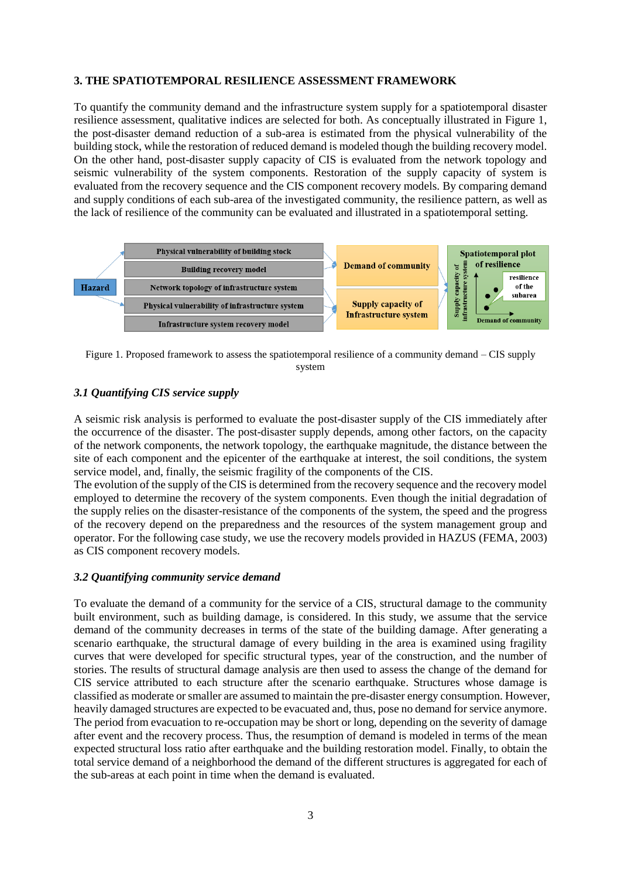#### **3. THE SPATIOTEMPORAL RESILIENCE ASSESSMENT FRAMEWORK**

To quantify the community demand and the infrastructure system supply for a spatiotemporal disaster resilience assessment, qualitative indices are selected for both. As conceptually illustrated in Figure 1, the post-disaster demand reduction of a sub-area is estimated from the physical vulnerability of the building stock, while the restoration of reduced demand is modeled though the building recovery model. On the other hand, post-disaster supply capacity of CIS is evaluated from the network topology and seismic vulnerability of the system components. Restoration of the supply capacity of system is evaluated from the recovery sequence and the CIS component recovery models. By comparing demand and supply conditions of each sub-area of the investigated community, the resilience pattern, as well as the lack of resilience of the community can be evaluated and illustrated in a spatiotemporal setting.



Figure 1. Proposed framework to assess the spatiotemporal resilience of a community demand – CIS supply system

## *3.1 Quantifying CIS service supply*

A seismic risk analysis is performed to evaluate the post-disaster supply of the CIS immediately after the occurrence of the disaster. The post-disaster supply depends, among other factors, on the capacity of the network components, the network topology, the earthquake magnitude, the distance between the site of each component and the epicenter of the earthquake at interest, the soil conditions, the system service model, and, finally, the seismic fragility of the components of the CIS.

The evolution of the supply of the CIS is determined from the recovery sequence and the recovery model employed to determine the recovery of the system components. Even though the initial degradation of the supply relies on the disaster-resistance of the components of the system, the speed and the progress of the recovery depend on the preparedness and the resources of the system management group and operator. For the following case study, we use the recovery models provided in HAZUS (FEMA, 2003) as CIS component recovery models.

#### *3.2 Quantifying community service demand*

To evaluate the demand of a community for the service of a CIS, structural damage to the community built environment, such as building damage, is considered. In this study, we assume that the service demand of the community decreases in terms of the state of the building damage. After generating a scenario earthquake, the structural damage of every building in the area is examined using fragility curves that were developed for specific structural types, year of the construction, and the number of stories. The results of structural damage analysis are then used to assess the change of the demand for CIS service attributed to each structure after the scenario earthquake. Structures whose damage is classified as moderate or smaller are assumed to maintain the pre-disaster energy consumption. However, heavily damaged structures are expected to be evacuated and, thus, pose no demand for service anymore. The period from evacuation to re-occupation may be short or long, depending on the severity of damage after event and the recovery process. Thus, the resumption of demand is modeled in terms of the mean expected structural loss ratio after earthquake and the building restoration model. Finally, to obtain the total service demand of a neighborhood the demand of the different structures is aggregated for each of the sub-areas at each point in time when the demand is evaluated.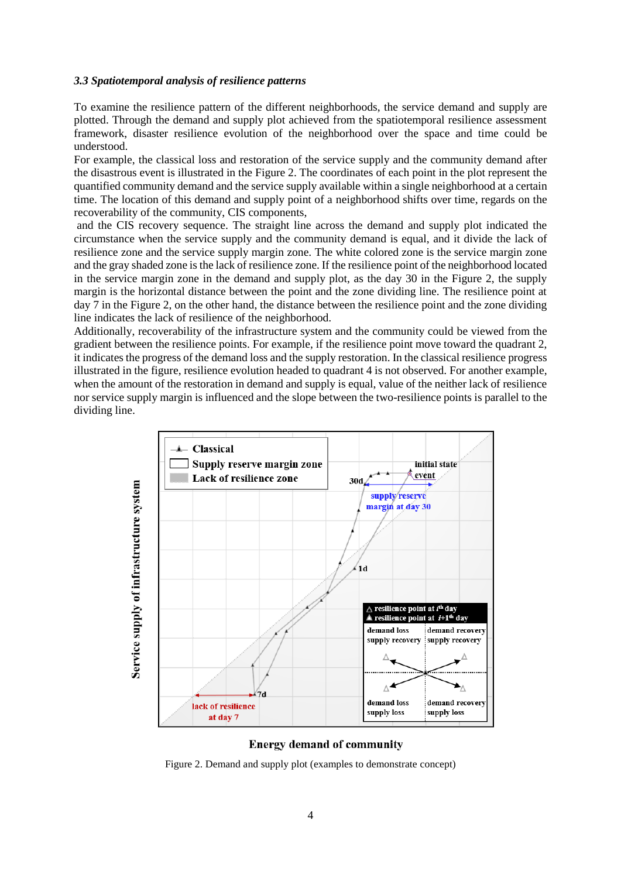#### *3.3 Spatiotemporal analysis of resilience patterns*

To examine the resilience pattern of the different neighborhoods, the service demand and supply are plotted. Through the demand and supply plot achieved from the spatiotemporal resilience assessment framework, disaster resilience evolution of the neighborhood over the space and time could be understood.

For example, the classical loss and restoration of the service supply and the community demand after the disastrous event is illustrated in the Figure 2. The coordinates of each point in the plot represent the quantified community demand and the service supply available within a single neighborhood at a certain time. The location of this demand and supply point of a neighborhood shifts over time, regards on the recoverability of the community, CIS components,

and the CIS recovery sequence. The straight line across the demand and supply plot indicated the circumstance when the service supply and the community demand is equal, and it divide the lack of resilience zone and the service supply margin zone. The white colored zone is the service margin zone and the gray shaded zone is the lack of resilience zone. If the resilience point of the neighborhood located in the service margin zone in the demand and supply plot, as the day 30 in the Figure 2, the supply margin is the horizontal distance between the point and the zone dividing line. The resilience point at day 7 in the Figure 2, on the other hand, the distance between the resilience point and the zone dividing line indicates the lack of resilience of the neighborhood.

Additionally, recoverability of the infrastructure system and the community could be viewed from the gradient between the resilience points. For example, if the resilience point move toward the quadrant 2, it indicates the progress of the demand loss and the supply restoration. In the classical resilience progress illustrated in the figure, resilience evolution headed to quadrant 4 is not observed. For another example, when the amount of the restoration in demand and supply is equal, value of the neither lack of resilience nor service supply margin is influenced and the slope between the two-resilience points is parallel to the dividing line.



#### **Energy demand of community**

Figure 2. Demand and supply plot (examples to demonstrate concept)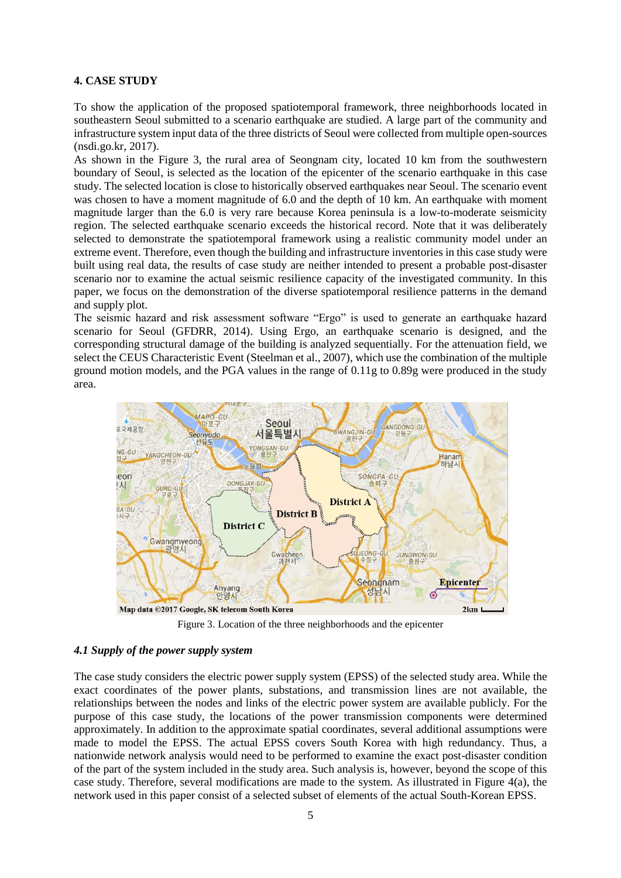## **4. CASE STUDY**

To show the application of the proposed spatiotemporal framework, three neighborhoods located in southeastern Seoul submitted to a scenario earthquake are studied. A large part of the community and infrastructure system input data of the three districts of Seoul were collected from multiple open-sources (nsdi.go.kr, 2017).

As shown in the Figure 3, the rural area of Seongnam city, located 10 km from the southwestern boundary of Seoul, is selected as the location of the epicenter of the scenario earthquake in this case study. The selected location is close to historically observed earthquakes near Seoul. The scenario event was chosen to have a moment magnitude of 6.0 and the depth of 10 km. An earthquake with moment magnitude larger than the 6.0 is very rare because Korea peninsula is a low-to-moderate seismicity region. The selected earthquake scenario exceeds the historical record. Note that it was deliberately selected to demonstrate the spatiotemporal framework using a realistic community model under an extreme event. Therefore, even though the building and infrastructure inventories in this case study were built using real data, the results of case study are neither intended to present a probable post-disaster scenario nor to examine the actual seismic resilience capacity of the investigated community. In this paper, we focus on the demonstration of the diverse spatiotemporal resilience patterns in the demand and supply plot.

The seismic hazard and risk assessment software "Ergo" is used to generate an earthquake hazard scenario for Seoul (GFDRR, 2014). Using Ergo, an earthquake scenario is designed, and the corresponding structural damage of the building is analyzed sequentially. For the attenuation field, we select the CEUS Characteristic Event (Steelman et al., 2007), which use the combination of the multiple ground motion models, and the PGA values in the range of 0.11g to 0.89g were produced in the study area.



Figure 3. Location of the three neighborhoods and the epicenter

## *4.1 Supply of the power supply system*

The case study considers the electric power supply system (EPSS) of the selected study area. While the exact coordinates of the power plants, substations, and transmission lines are not available, the relationships between the nodes and links of the electric power system are available publicly. For the purpose of this case study, the locations of the power transmission components were determined approximately. In addition to the approximate spatial coordinates, several additional assumptions were made to model the EPSS. The actual EPSS covers South Korea with high redundancy. Thus, a nationwide network analysis would need to be performed to examine the exact post-disaster condition of the part of the system included in the study area. Such analysis is, however, beyond the scope of this case study. Therefore, several modifications are made to the system. As illustrated in Figure 4(a), the network used in this paper consist of a selected subset of elements of the actual South-Korean EPSS.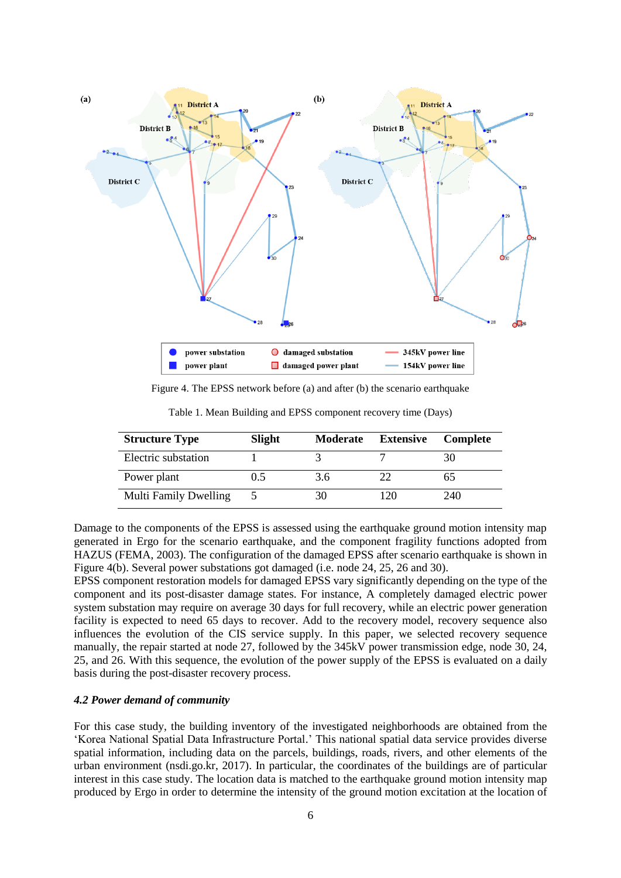

Figure 4. The EPSS network before (a) and after (b) the scenario earthquake

| <b>Structure Type</b>        | <b>Slight</b> | <b>Moderate</b> | <b>Extensive</b> | <b>Complete</b> |
|------------------------------|---------------|-----------------|------------------|-----------------|
| Electric substation          |               |                 |                  | 30              |
| Power plant                  | 0.5           | 3.6             | フフ               | 65              |
| <b>Multi Family Dwelling</b> |               | 30              | 120              | 240             |

Table 1. Mean Building and EPSS component recovery time (Days)

Damage to the components of the EPSS is assessed using the earthquake ground motion intensity map generated in Ergo for the scenario earthquake, and the component fragility functions adopted from HAZUS (FEMA, 2003). The configuration of the damaged EPSS after scenario earthquake is shown in Figure 4(b). Several power substations got damaged (i.e. node 24, 25, 26 and 30).

EPSS component restoration models for damaged EPSS vary significantly depending on the type of the component and its post-disaster damage states. For instance, A completely damaged electric power system substation may require on average 30 days for full recovery, while an electric power generation facility is expected to need 65 days to recover. Add to the recovery model, recovery sequence also influences the evolution of the CIS service supply. In this paper, we selected recovery sequence manually, the repair started at node 27, followed by the 345kV power transmission edge, node 30, 24, 25, and 26. With this sequence, the evolution of the power supply of the EPSS is evaluated on a daily basis during the post-disaster recovery process.

#### *4.2 Power demand of community*

For this case study, the building inventory of the investigated neighborhoods are obtained from the 'Korea National Spatial Data Infrastructure Portal.' This national spatial data service provides diverse spatial information, including data on the parcels, buildings, roads, rivers, and other elements of the urban environment (nsdi.go.kr, 2017). In particular, the coordinates of the buildings are of particular interest in this case study. The location data is matched to the earthquake ground motion intensity map produced by Ergo in order to determine the intensity of the ground motion excitation at the location of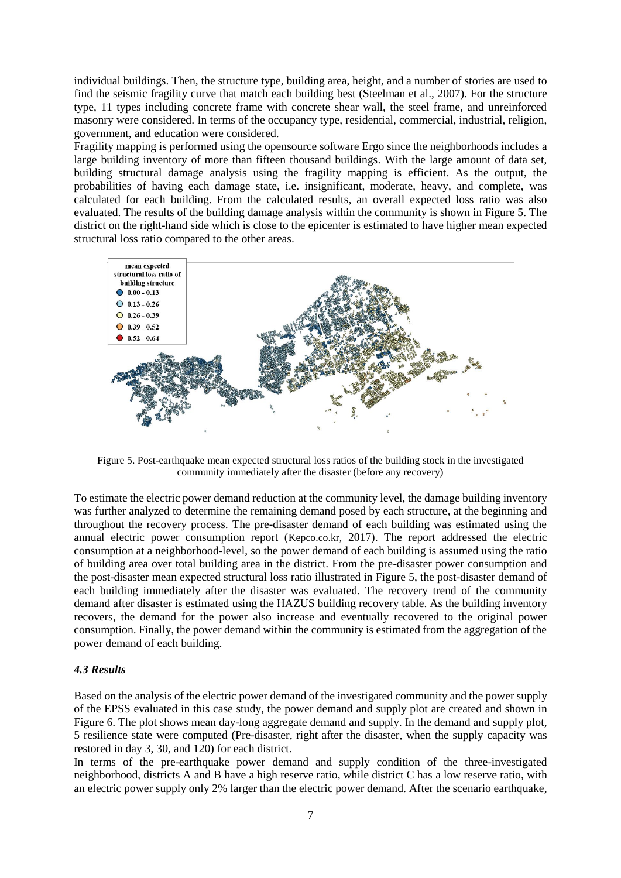individual buildings. Then, the structure type, building area, height, and a number of stories are used to find the seismic fragility curve that match each building best (Steelman et al., 2007). For the structure type, 11 types including concrete frame with concrete shear wall, the steel frame, and unreinforced masonry were considered. In terms of the occupancy type, residential, commercial, industrial, religion, government, and education were considered.

Fragility mapping is performed using the opensource software Ergo since the neighborhoods includes a large building inventory of more than fifteen thousand buildings. With the large amount of data set, building structural damage analysis using the fragility mapping is efficient. As the output, the probabilities of having each damage state, i.e. insignificant, moderate, heavy, and complete, was calculated for each building. From the calculated results, an overall expected loss ratio was also evaluated. The results of the building damage analysis within the community is shown in Figure 5. The district on the right-hand side which is close to the epicenter is estimated to have higher mean expected structural loss ratio compared to the other areas.



Figure 5. Post-earthquake mean expected structural loss ratios of the building stock in the investigated community immediately after the disaster (before any recovery)

To estimate the electric power demand reduction at the community level, the damage building inventory was further analyzed to determine the remaining demand posed by each structure, at the beginning and throughout the recovery process. The pre-disaster demand of each building was estimated using the annual electric power consumption report (Kepco.co.kr, 2017). The report addressed the electric consumption at a neighborhood-level, so the power demand of each building is assumed using the ratio of building area over total building area in the district. From the pre-disaster power consumption and the post-disaster mean expected structural loss ratio illustrated in Figure 5, the post-disaster demand of each building immediately after the disaster was evaluated. The recovery trend of the community demand after disaster is estimated using the HAZUS building recovery table. As the building inventory recovers, the demand for the power also increase and eventually recovered to the original power consumption. Finally, the power demand within the community is estimated from the aggregation of the power demand of each building.

## *4.3 Results*

Based on the analysis of the electric power demand of the investigated community and the power supply of the EPSS evaluated in this case study, the power demand and supply plot are created and shown in Figure 6. The plot shows mean day-long aggregate demand and supply. In the demand and supply plot, 5 resilience state were computed (Pre-disaster, right after the disaster, when the supply capacity was restored in day 3, 30, and 120) for each district.

In terms of the pre-earthquake power demand and supply condition of the three-investigated neighborhood, districts A and B have a high reserve ratio, while district C has a low reserve ratio, with an electric power supply only 2% larger than the electric power demand. After the scenario earthquake,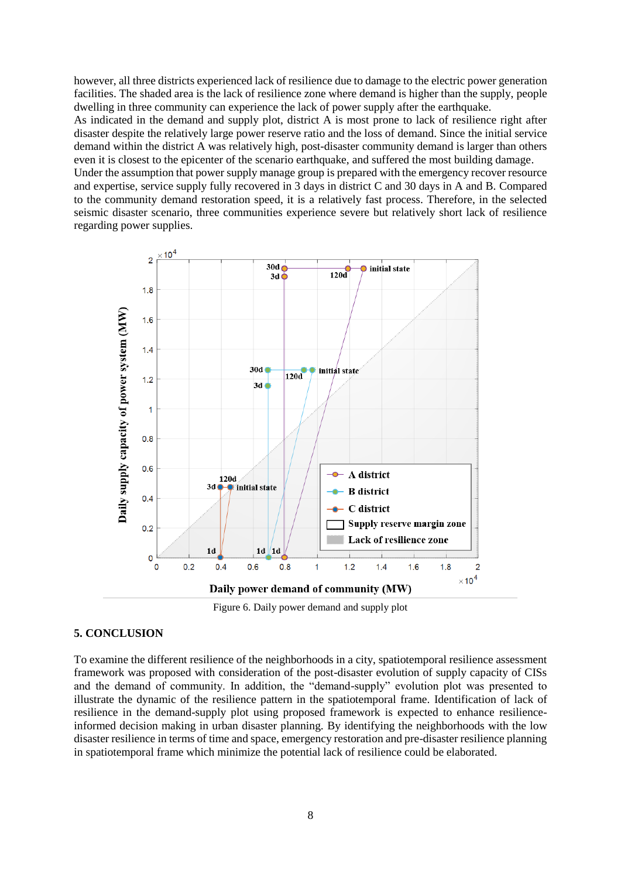however, all three districts experienced lack of resilience due to damage to the electric power generation facilities. The shaded area is the lack of resilience zone where demand is higher than the supply, people dwelling in three community can experience the lack of power supply after the earthquake.

As indicated in the demand and supply plot, district A is most prone to lack of resilience right after disaster despite the relatively large power reserve ratio and the loss of demand. Since the initial service demand within the district A was relatively high, post-disaster community demand is larger than others even it is closest to the epicenter of the scenario earthquake, and suffered the most building damage.

Under the assumption that power supply manage group is prepared with the emergency recover resource and expertise, service supply fully recovered in 3 days in district C and 30 days in A and B. Compared to the community demand restoration speed, it is a relatively fast process. Therefore, in the selected seismic disaster scenario, three communities experience severe but relatively short lack of resilience regarding power supplies.



Figure 6. Daily power demand and supply plot

# **5. CONCLUSION**

To examine the different resilience of the neighborhoods in a city, spatiotemporal resilience assessment framework was proposed with consideration of the post-disaster evolution of supply capacity of CISs and the demand of community. In addition, the "demand-supply" evolution plot was presented to illustrate the dynamic of the resilience pattern in the spatiotemporal frame. Identification of lack of resilience in the demand-supply plot using proposed framework is expected to enhance resilienceinformed decision making in urban disaster planning. By identifying the neighborhoods with the low disaster resilience in terms of time and space, emergency restoration and pre-disaster resilience planning in spatiotemporal frame which minimize the potential lack of resilience could be elaborated.